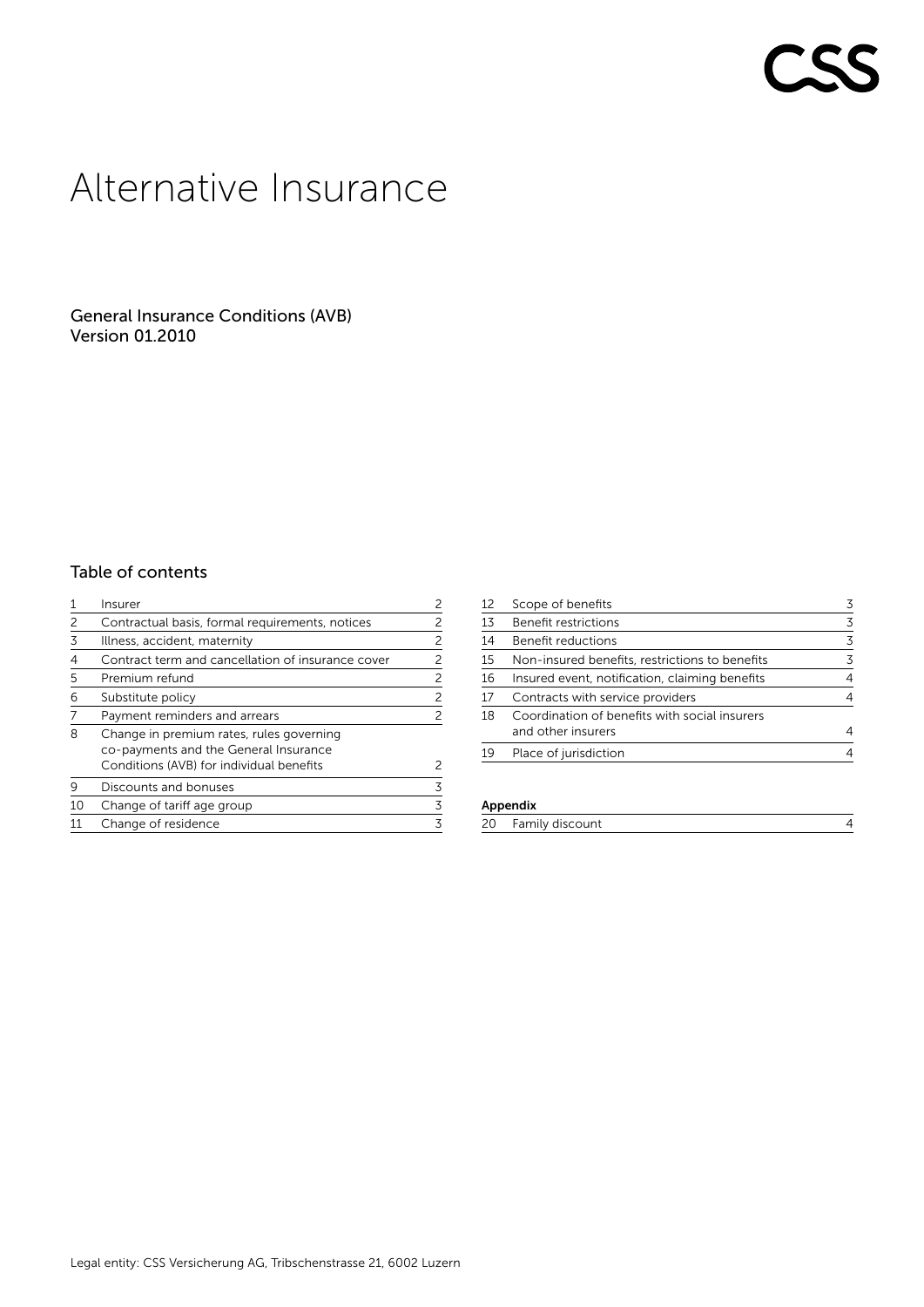# r CC

# Alternative Insurance

General Insurance Conditions (AVB) Version 01.2010

# Table of contents

|    | Insurer                                                                           | 2 |
|----|-----------------------------------------------------------------------------------|---|
| 2  | Contractual basis, formal requirements, notices                                   | 2 |
| 3  | Illness, accident, maternity                                                      | 2 |
| 4  | Contract term and cancellation of insurance cover                                 | 2 |
| 5  | Premium refund                                                                    | 2 |
| 6  | Substitute policy                                                                 | 2 |
|    | Payment reminders and arrears                                                     | 2 |
| 8  | Change in premium rates, rules governing<br>co-payments and the General Insurance |   |
|    | Conditions (AVB) for individual benefits                                          | 2 |
| 9  | Discounts and bonuses                                                             | 3 |
| 10 | Change of tariff age group                                                        | 3 |
|    | Change of residence                                                               | 3 |

| 12 | Scope of benefits                              | 3 |
|----|------------------------------------------------|---|
| 13 | Benefit restrictions                           | 3 |
| 14 | Benefit reductions                             | 3 |
| 15 | Non-insured benefits, restrictions to benefits | 3 |
| 16 | Insured event, notification, claiming benefits | 4 |
| 17 | Contracts with service providers               | 4 |
| 18 | Coordination of benefits with social insurers  |   |
|    | and other insurers                             | 4 |
| 19 | Place of jurisdiction                          |   |

# Appendix

| 20<br>Family discount |  |
|-----------------------|--|
|-----------------------|--|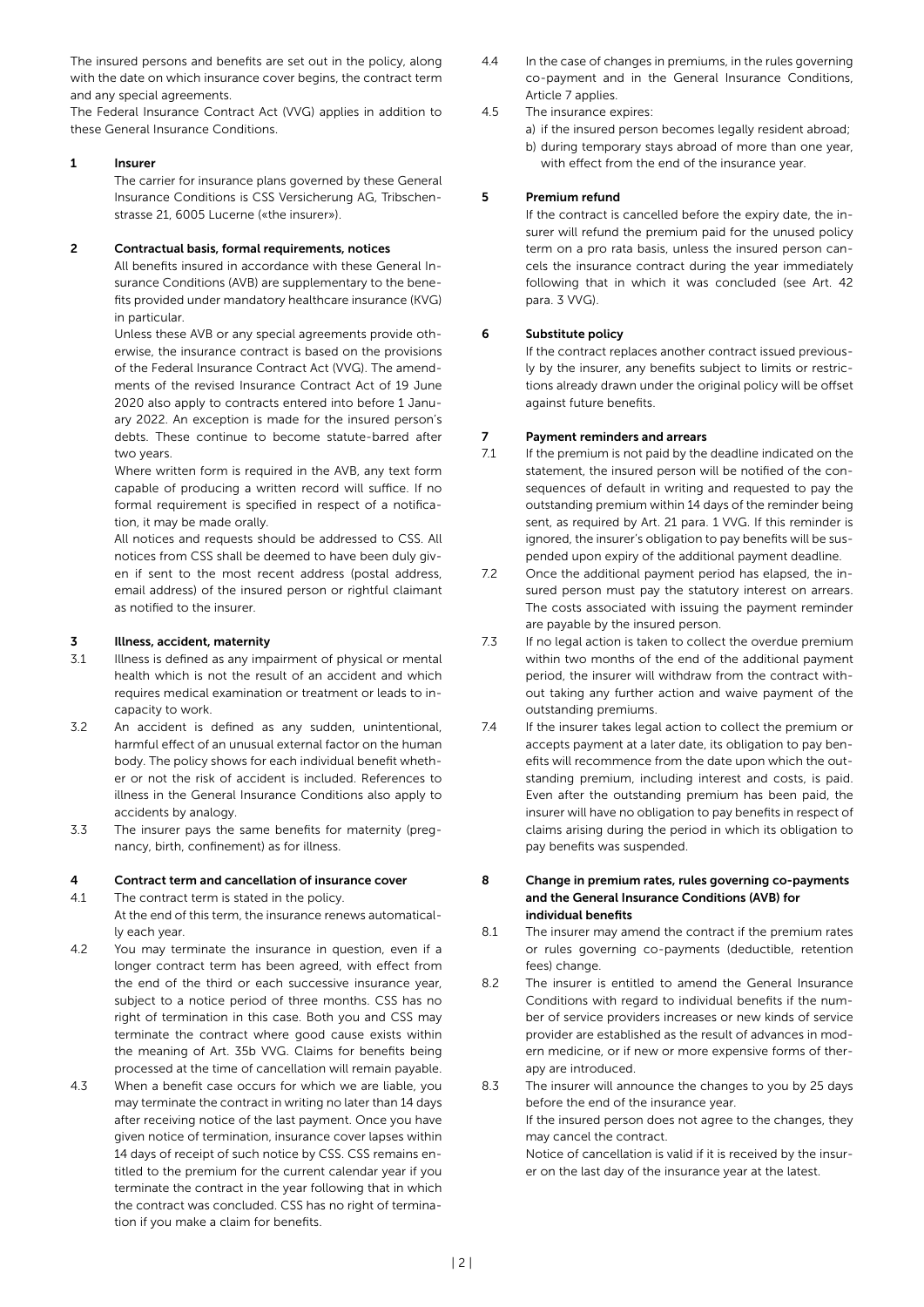The insured persons and benefits are set out in the policy, along with the date on which insurance cover begins, the contract term and any special agreements.

The Federal Insurance Contract Act (VVG) applies in addition to these General Insurance Conditions.

#### 1 Insurer

The carrier for insurance plans governed by these General Insurance Conditions is CSS Versicherung AG, Tribschenstrasse 21, 6005 Lucerne («the insurer»).

#### 2 Contractual basis, formal requirements, notices

All benefits insured in accordance with these General Insurance Conditions (AVB) are supplementary to the benefits provided under mandatory healthcare insurance (KVG) in particular.

Unless these AVB or any special agreements provide otherwise, the insurance contract is based on the provisions of the Federal Insurance Contract Act (VVG). The amendments of the revised Insurance Contract Act of 19 June 2020 also apply to contracts entered into before 1 January 2022. An exception is made for the insured person's debts. These continue to become statute-barred after two years.

Where written form is required in the AVB, any text form capable of producing a written record will suffice. If no formal requirement is specified in respect of a notification, it may be made orally.

All notices and requests should be addressed to CSS. All notices from CSS shall be deemed to have been duly given if sent to the most recent address (postal address, email address) of the insured person or rightful claimant as notified to the insurer.

#### 3 Illness, accident, maternity

- 3.1 Illness is defined as any impairment of physical or mental health which is not the result of an accident and which requires medical examination or treatment or leads to incapacity to work.
- 3.2 An accident is defined as any sudden, unintentional, harmful effect of an unusual external factor on the human body. The policy shows for each individual benefit whether or not the risk of accident is included. References to illness in the General Insurance Conditions also apply to accidents by analogy.
- 3.3 The insurer pays the same benefits for maternity (pregnancy, birth, confinement) as for illness.

#### 4 Contract term and cancellation of insurance cover

- 4.1 The contract term is stated in the policy.
- At the end of this term, the insurance renews automatically each year.
- 4.2 You may terminate the insurance in question, even if a longer contract term has been agreed, with effect from the end of the third or each successive insurance year, subject to a notice period of three months. CSS has no right of termination in this case. Both you and CSS may terminate the contract where good cause exists within the meaning of Art. 35b VVG. Claims for benefits being processed at the time of cancellation will remain payable.
- 4.3 When a benefit case occurs for which we are liable, you may terminate the contract in writing no later than 14 days after receiving notice of the last payment. Once you have given notice of termination, insurance cover lapses within 14 days of receipt of such notice by CSS. CSS remains entitled to the premium for the current calendar year if you terminate the contract in the year following that in which the contract was concluded. CSS has no right of termination if you make a claim for benefits.

4.4 In the case of changes in premiums, in the rules governing co-payment and in the General Insurance Conditions, Article 7 applies.

#### 4.5 The insurance expires:

a) if the insured person becomes legally resident abroad; b) during temporary stays abroad of more than one year,

# with effect from the end of the insurance year.

#### 5 Premium refund

If the contract is cancelled before the expiry date, the insurer will refund the premium paid for the unused policy term on a pro rata basis, unless the insured person cancels the insurance contract during the year immediately following that in which it was concluded (see Art. 42 para. 3 VVG).

#### 6 Substitute policy

If the contract replaces another contract issued previously by the insurer, any benefits subject to limits or restrictions already drawn under the original policy will be offset against future benefits.

#### 7 Payment reminders and arrears

- 7.1 If the premium is not paid by the deadline indicated on the statement, the insured person will be notified of the consequences of default in writing and requested to pay the outstanding premium within 14 days of the reminder being sent, as required by Art. 21 para. 1 VVG. If this reminder is ignored, the insurer's obligation to pay benefits will be suspended upon expiry of the additional payment deadline.
- 7.2 Once the additional payment period has elapsed, the insured person must pay the statutory interest on arrears. The costs associated with issuing the payment reminder are payable by the insured person.
- 7.3 If no legal action is taken to collect the overdue premium within two months of the end of the additional payment period, the insurer will withdraw from the contract without taking any further action and waive payment of the outstanding premiums.
- 7.4 If the insurer takes legal action to collect the premium or accepts payment at a later date, its obligation to pay benefits will recommence from the date upon which the outstanding premium, including interest and costs, is paid. Even after the outstanding premium has been paid, the insurer will have no obligation to pay benefits in respect of claims arising during the period in which its obligation to pay benefits was suspended.

#### 8 Change in premium rates, rules governing co-payments and the General Insurance Conditions (AVB) for individual benefits

- 8.1 The insurer may amend the contract if the premium rates or rules governing co-payments (deductible, retention fees) change.
- 8.2 The insurer is entitled to amend the General Insurance Conditions with regard to individual benefits if the number of service providers increases or new kinds of service provider are established as the result of advances in modern medicine, or if new or more expensive forms of therapy are introduced.
- 8.3 The insurer will announce the changes to you by 25 days before the end of the insurance year. If the insured person does not agree to the changes, they may cancel the contract. Notice of cancellation is valid if it is received by the insurer on the last day of the insurance year at the latest.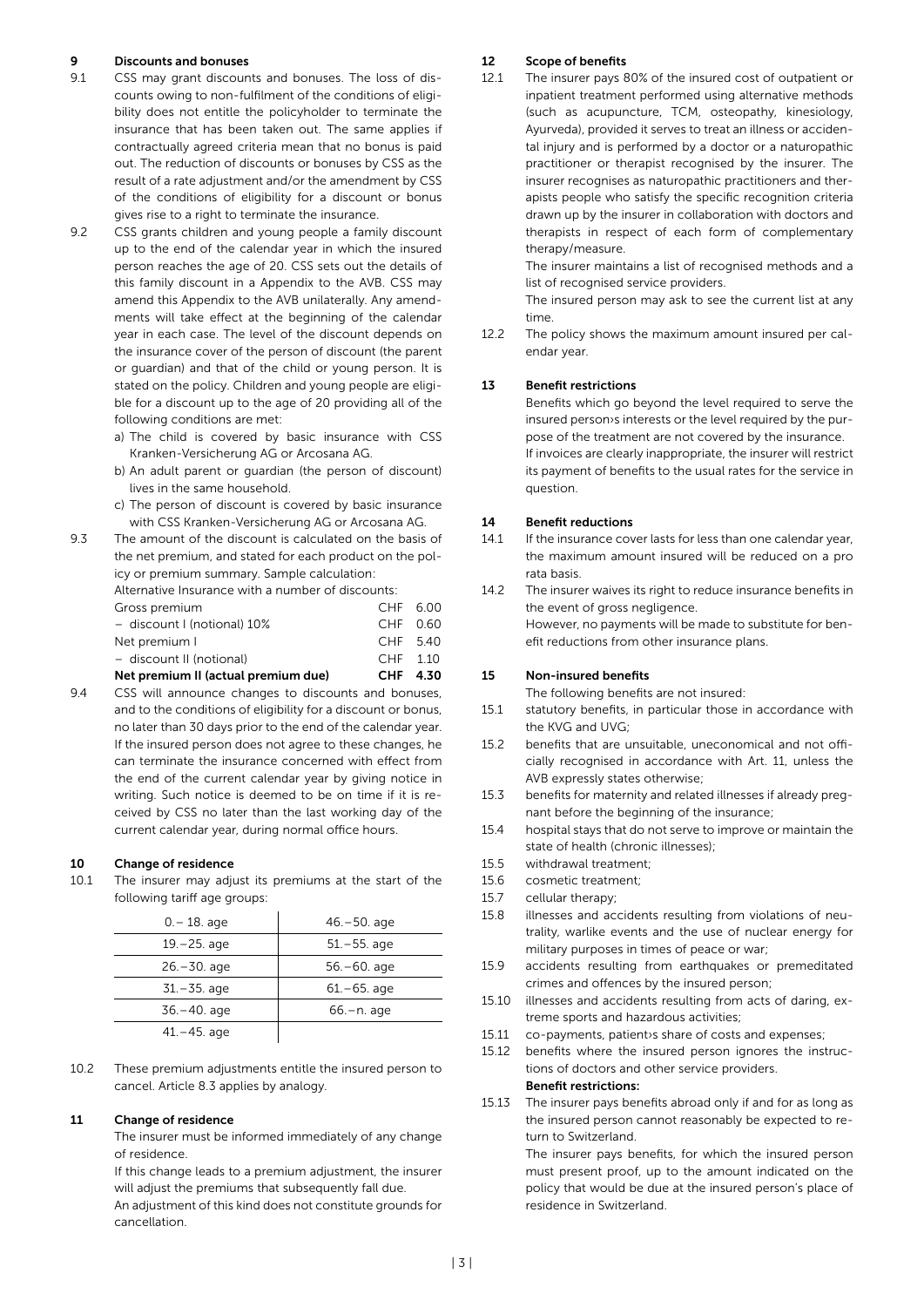#### 9 Discounts and bonuses

- 9.1 CSS may grant discounts and bonuses. The loss of discounts owing to non-fulfilment of the conditions of eligibility does not entitle the policyholder to terminate the insurance that has been taken out. The same applies if contractually agreed criteria mean that no bonus is paid out. The reduction of discounts or bonuses by CSS as the result of a rate adjustment and/or the amendment by CSS of the conditions of eligibility for a discount or bonus gives rise to a right to terminate the insurance.
- 9.2 CSS grants children and young people a family discount up to the end of the calendar year in which the insured person reaches the age of 20. CSS sets out the details of this family discount in a Appendix to the AVB. CSS may amend this Appendix to the AVB unilaterally. Any amendments will take effect at the beginning of the calendar year in each case. The level of the discount depends on the insurance cover of the person of discount (the parent or guardian) and that of the child or young person. It is stated on the policy. Children and young people are eligible for a discount up to the age of 20 providing all of the following conditions are met:
	- a) The child is covered by basic insurance with CSS Kranken-Versicherung AG or Arcosana AG.
	- b) An adult parent or guardian (the person of discount) lives in the same household.
	- c) The person of discount is covered by basic insurance with CSS Kranken-Versicherung AG or Arcosana AG.
- 9.3 The amount of the discount is calculated on the basis of the net premium, and stated for each product on the policy or premium summary. Sample calculation: Alternative Insurance with a number of discounts: Gross premium CHF 6.00 – discount I (notional) 10% CHF 0.60 Net premium I CHF 5.40 – discount II (notional) CHF 1.10 Net premium II (actual premium due) CHF 4.30
- 9.4 CSS will announce changes to discounts and bonuses, and to the conditions of eligibility for a discount or bonus, no later than 30 days prior to the end of the calendar year. If the insured person does not agree to these changes, he can terminate the insurance concerned with effect from the end of the current calendar year by giving notice in writing. Such notice is deemed to be on time if it is received by CSS no later than the last working day of the current calendar year, during normal office hours.

#### 10 Change of residence

10.1 The insurer may adjust its premiums at the start of the following tariff age groups:

| $0 - 18$ . age  | $46 - 50$ . age |
|-----------------|-----------------|
| $19 - 25$ . age | $51 - 55$ . age |
| $26 - 30$ . age | $56 - 60$ . age |
| $31 - 35$ . age | $61 - 65$ . age |
| $36 - 40$ . age | $66 - n$ . age  |
| $41 - 45$ . age |                 |

10.2 These premium adjustments entitle the insured person to cancel. Article 8.3 applies by analogy.

#### 11 Change of residence

The insurer must be informed immediately of any change of residence.

If this change leads to a premium adjustment, the insurer will adjust the premiums that subsequently fall due. An adjustment of this kind does not constitute grounds for cancellation.

#### 12 Scope of benefits

12.1 The insurer pays 80% of the insured cost of outpatient or inpatient treatment performed using alternative methods (such as acupuncture, TCM, osteopathy, kinesiology, Ayurveda), provided it serves to treat an illness or accidental injury and is performed by a doctor or a naturopathic practitioner or therapist recognised by the insurer. The insurer recognises as naturopathic practitioners and therapists people who satisfy the specific recognition criteria drawn up by the insurer in collaboration with doctors and therapists in respect of each form of complementary therapy/measure.

> The insurer maintains a list of recognised methods and a list of recognised service providers.

> The insured person may ask to see the current list at any time.

12.2 The policy shows the maximum amount insured per calendar year.

#### 13 Benefit restrictions

Benefits which go beyond the level required to serve the insured person›s interests or the level required by the purpose of the treatment are not covered by the insurance. If invoices are clearly inappropriate, the insurer will restrict its payment of benefits to the usual rates for the service in question.

#### 14 Benefit reductions

- 14.1 If the insurance cover lasts for less than one calendar year, the maximum amount insured will be reduced on a pro rata basis.
- 14.2 The insurer waives its right to reduce insurance benefits in the event of gross negligence. However, no payments will be made to substitute for benefit reductions from other insurance plans.

#### 15 Non-insured benefits

The following benefits are not insured:

- 15.1 statutory benefits, in particular those in accordance with the KVG and UVG;
- 15.2 benefits that are unsuitable, uneconomical and not officially recognised in accordance with Art. 11, unless the AVB expressly states otherwise;
- 15.3 benefits for maternity and related illnesses if already pregnant before the beginning of the insurance;
- 15.4 hospital stays that do not serve to improve or maintain the state of health (chronic illnesses);
- 15.5 withdrawal treatment;
- 15.6 cosmetic treatment;
- 15.7 cellular therapy;
- 15.8 illnesses and accidents resulting from violations of neutrality, warlike events and the use of nuclear energy for military purposes in times of peace or war;
- 15.9 accidents resulting from earthquakes or premeditated crimes and offences by the insured person;
- 15.10 illnesses and accidents resulting from acts of daring, extreme sports and hazardous activities;
- 15.11 co-payments, patient›s share of costs and expenses;
- 15.12 benefits where the insured person ignores the instructions of doctors and other service providers.

## Benefit restrictions:

15.13 The insurer pays benefits abroad only if and for as long as the insured person cannot reasonably be expected to return to Switzerland.

> The insurer pays benefits, for which the insured person must present proof, up to the amount indicated on the policy that would be due at the insured person's place of residence in Switzerland.